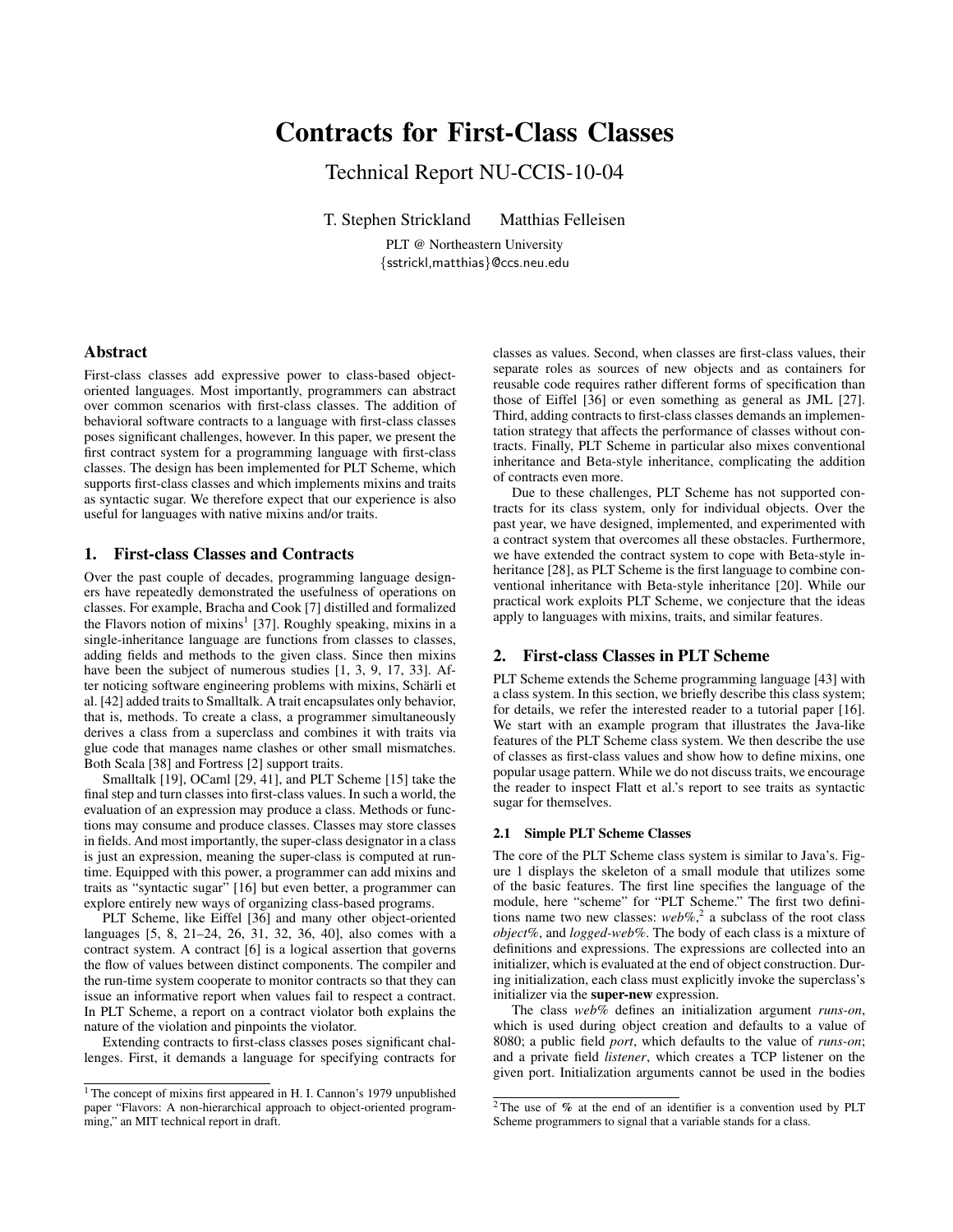# Contracts for First-Class Classes

Technical Report NU-CCIS-10-04

T. Stephen Strickland Matthias Felleisen

PLT @ Northeastern University {sstrickl,matthias}@ccs.neu.edu

# Abstract

First-class classes add expressive power to class-based objectoriented languages. Most importantly, programmers can abstract over common scenarios with first-class classes. The addition of behavioral software contracts to a language with first-class classes poses significant challenges, however. In this paper, we present the first contract system for a programming language with first-class classes. The design has been implemented for PLT Scheme, which supports first-class classes and which implements mixins and traits as syntactic sugar. We therefore expect that our experience is also useful for languages with native mixins and/or traits.

# 1. First-class Classes and Contracts

Over the past couple of decades, programming language designers have repeatedly demonstrated the usefulness of operations on classes. For example, Bracha and Cook [7] distilled and formalized the Flavors notion of mixins<sup>1</sup> [37]. Roughly speaking, mixins in a single-inheritance language are functions from classes to classes, adding fields and methods to the given class. Since then mixins have been the subject of numerous studies [1, 3, 9, 17, 33]. After noticing software engineering problems with mixins, Schärli et al. [42] added traits to Smalltalk. A trait encapsulates only behavior, that is, methods. To create a class, a programmer simultaneously derives a class from a superclass and combines it with traits via glue code that manages name clashes or other small mismatches. Both Scala [38] and Fortress [2] support traits.

Smalltalk [19], OCaml [29, 41], and PLT Scheme [15] take the final step and turn classes into first-class values. In such a world, the evaluation of an expression may produce a class. Methods or functions may consume and produce classes. Classes may store classes in fields. And most importantly, the super-class designator in a class is just an expression, meaning the super-class is computed at runtime. Equipped with this power, a programmer can add mixins and traits as "syntactic sugar" [16] but even better, a programmer can explore entirely new ways of organizing class-based programs.

PLT Scheme, like Eiffel [36] and many other object-oriented languages [5, 8, 21–24, 26, 31, 32, 36, 40], also comes with a contract system. A contract [6] is a logical assertion that governs the flow of values between distinct components. The compiler and the run-time system cooperate to monitor contracts so that they can issue an informative report when values fail to respect a contract. In PLT Scheme, a report on a contract violator both explains the nature of the violation and pinpoints the violator.

Extending contracts to first-class classes poses significant challenges. First, it demands a language for specifying contracts for classes as values. Second, when classes are first-class values, their separate roles as sources of new objects and as containers for reusable code requires rather different forms of specification than those of Eiffel [36] or even something as general as JML [27]. Third, adding contracts to first-class classes demands an implementation strategy that affects the performance of classes without contracts. Finally, PLT Scheme in particular also mixes conventional inheritance and Beta-style inheritance, complicating the addition of contracts even more.

Due to these challenges, PLT Scheme has not supported contracts for its class system, only for individual objects. Over the past year, we have designed, implemented, and experimented with a contract system that overcomes all these obstacles. Furthermore, we have extended the contract system to cope with Beta-style inheritance [28], as PLT Scheme is the first language to combine conventional inheritance with Beta-style inheritance [20]. While our practical work exploits PLT Scheme, we conjecture that the ideas apply to languages with mixins, traits, and similar features.

# 2. First-class Classes in PLT Scheme

PLT Scheme extends the Scheme programming language [43] with a class system. In this section, we briefly describe this class system; for details, we refer the interested reader to a tutorial paper [16]. We start with an example program that illustrates the Java-like features of the PLT Scheme class system. We then describe the use of classes as first-class values and show how to define mixins, one popular usage pattern. While we do not discuss traits, we encourage the reader to inspect Flatt et al.'s report to see traits as syntactic sugar for themselves.

## 2.1 Simple PLT Scheme Classes

The core of the PLT Scheme class system is similar to Java's. Figure 1 displays the skeleton of a small module that utilizes some of the basic features. The first line specifies the language of the module, here "scheme" for "PLT Scheme." The first two definitions name two new classes: *web%*, 2 a subclass of the root class *object%*, and *logged-web%*. The body of each class is a mixture of definitions and expressions. The expressions are collected into an initializer, which is evaluated at the end of object construction. During initialization, each class must explicitly invoke the superclass's initializer via the super-new expression.

The class *web%* defines an initialization argument *runs-on*, which is used during object creation and defaults to a value of 8080; a public field *port*, which defaults to the value of *runs-on*; and a private field *listener*, which creates a TCP listener on the given port. Initialization arguments cannot be used in the bodies

<sup>&</sup>lt;sup>1</sup> The concept of mixins first appeared in H. I. Cannon's 1979 unpublished paper "Flavors: A non-hierarchical approach to object-oriented programming," an MIT technical report in draft.

<sup>2</sup> The use of % at the end of an identifier is a convention used by PLT Scheme programmers to signal that a variable stands for a class.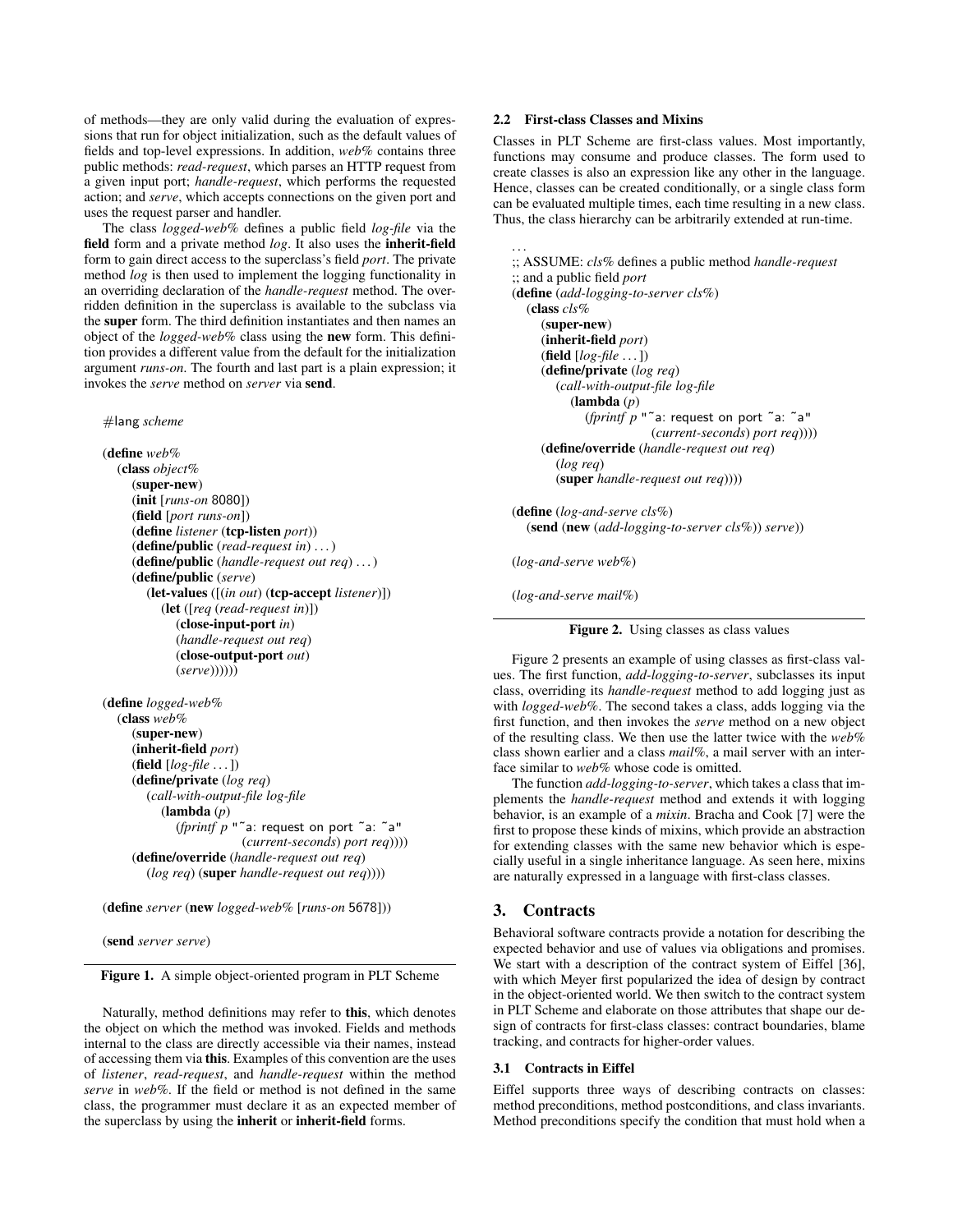of methods—they are only valid during the evaluation of expressions that run for object initialization, such as the default values of fields and top-level expressions. In addition, *web%* contains three public methods: *read-request*, which parses an HTTP request from a given input port; *handle-request*, which performs the requested action; and *serve*, which accepts connections on the given port and uses the request parser and handler.

The class *logged-web%* defines a public field *log-file* via the field form and a private method *log*. It also uses the inherit-field form to gain direct access to the superclass's field *port*. The private method *log* is then used to implement the logging functionality in an overriding declaration of the *handle-request* method. The overridden definition in the superclass is available to the subclass via the super form. The third definition instantiates and then names an object of the *logged-web%* class using the new form. This definition provides a different value from the default for the initialization argument *runs-on*. The fourth and last part is a plain expression; it invokes the *serve* method on *server* via send.

#### #lang *scheme*

(define *web%* (class *object%* (super-new) (init [*runs-on* 8080]) (field [*port runs-on*]) (define *listener* (tcp-listen *port*)) (define/public (*read-request in*) . . . ) (define/public (*handle-request out req*) . . . ) (define/public (*serve*) (let-values ([(*in out*) (tcp-accept *listener*)]) (let ([*req* (*read-request in*)]) (close-input-port *in*) (*handle-request out req*) (close-output-port *out*) (*serve*))))))

(define *logged-web%* (class *web%* (super-new) (inherit-field *port*) (field [*log-file* . . . ]) (define/private (*log req*) (*call-with-output-file log-file* (lambda (*p*) (*fprintf p* "˜a: request on port ˜a: ˜a" (*current-seconds*) *port req*)))) (define/override (*handle-request out req*) (*log req*) (super *handle-request out req*))))

(define *server* (new *logged-web%* [*runs-on* 5678]))

(send *server serve*)

Figure 1. A simple object-oriented program in PLT Scheme

Naturally, method definitions may refer to this, which denotes the object on which the method was invoked. Fields and methods internal to the class are directly accessible via their names, instead of accessing them via this. Examples of this convention are the uses of *listener*, *read-request*, and *handle-request* within the method *serve* in *web%*. If the field or method is not defined in the same class, the programmer must declare it as an expected member of the superclass by using the inherit or inherit-field forms.

# 2.2 First-class Classes and Mixins

Classes in PLT Scheme are first-class values. Most importantly, functions may consume and produce classes. The form used to create classes is also an expression like any other in the language. Hence, classes can be created conditionally, or a single class form can be evaluated multiple times, each time resulting in a new class. Thus, the class hierarchy can be arbitrarily extended at run-time.

. . . ;; ASSUME: *cls%* defines a public method *handle-request* ;; and a public field *port* (define (*add-logging-to-server cls%*) (class *cls%* (super-new) (inherit-field *port*) (field [*log-file* . . . ]) (define/private (*log req*) (*call-with-output-file log-file* (lambda (*p*) (*fprintf p* "˜a: request on port ˜a: ˜a" (*current-seconds*) *port req*)))) (define/override (*handle-request out req*) (*log req*) (super *handle-request out req*)))) (define (*log-and-serve cls%*)

(send (new (*add-logging-to-server cls%*)) *serve*))

(*log-and-serve web%*)

(*log-and-serve mail%*)



Figure 2 presents an example of using classes as first-class values. The first function, *add-logging-to-server*, subclasses its input class, overriding its *handle-request* method to add logging just as with *logged-web%*. The second takes a class, adds logging via the first function, and then invokes the *serve* method on a new object of the resulting class. We then use the latter twice with the *web%* class shown earlier and a class *mail%*, a mail server with an interface similar to *web%* whose code is omitted.

The function *add-logging-to-server*, which takes a class that implements the *handle-request* method and extends it with logging behavior, is an example of a *mixin*. Bracha and Cook [7] were the first to propose these kinds of mixins, which provide an abstraction for extending classes with the same new behavior which is especially useful in a single inheritance language. As seen here, mixins are naturally expressed in a language with first-class classes.

# 3. Contracts

Behavioral software contracts provide a notation for describing the expected behavior and use of values via obligations and promises. We start with a description of the contract system of Eiffel [36], with which Meyer first popularized the idea of design by contract in the object-oriented world. We then switch to the contract system in PLT Scheme and elaborate on those attributes that shape our design of contracts for first-class classes: contract boundaries, blame tracking, and contracts for higher-order values.

#### 3.1 Contracts in Eiffel

Eiffel supports three ways of describing contracts on classes: method preconditions, method postconditions, and class invariants. Method preconditions specify the condition that must hold when a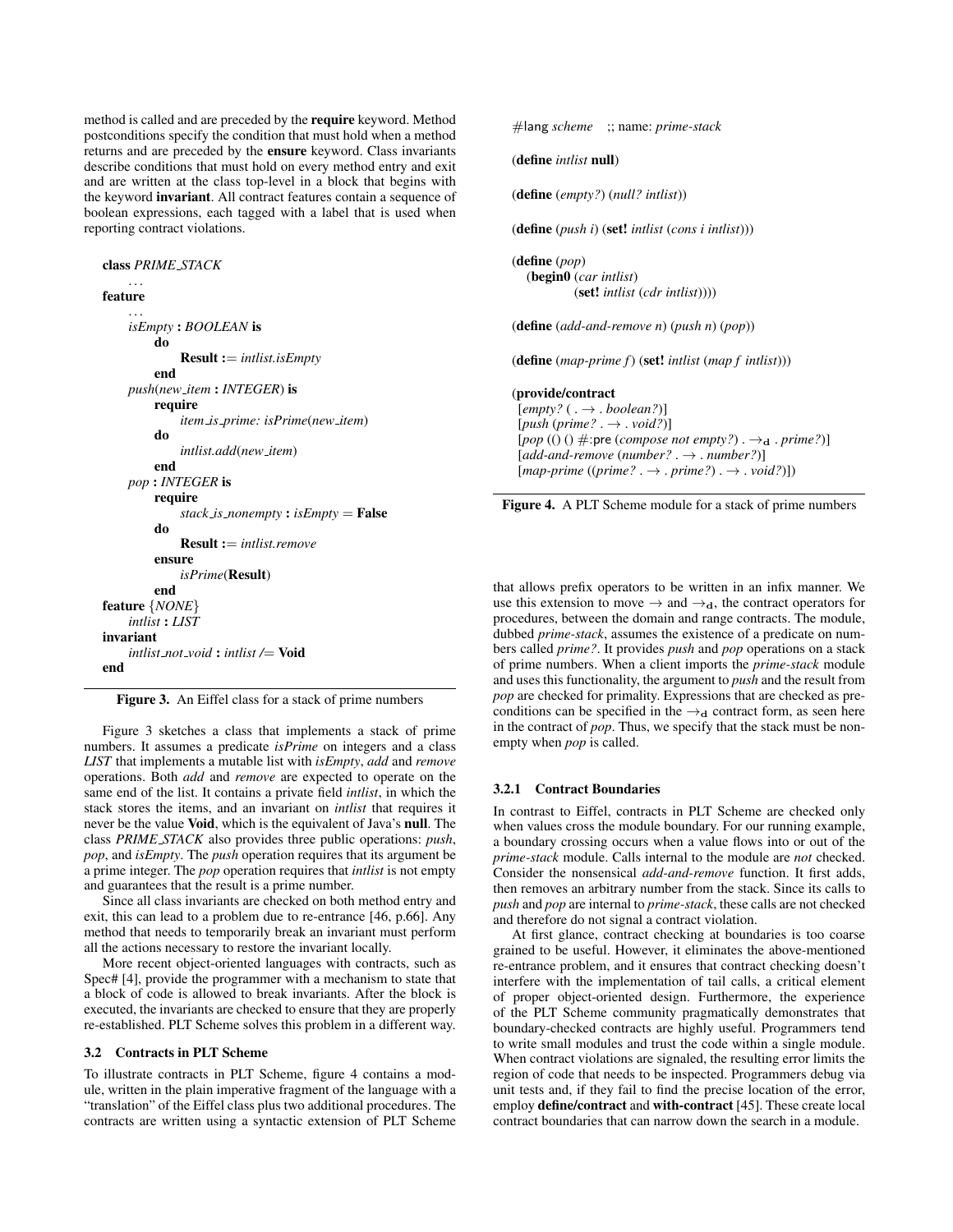method is called and are preceded by the require keyword. Method postconditions specify the condition that must hold when a method returns and are preceded by the ensure keyword. Class invariants describe conditions that must hold on every method entry and exit and are written at the class top-level in a block that begins with the keyword invariant. All contract features contain a sequence of boolean expressions, each tagged with a label that is used when reporting contract violations.

```
class PRIME STACK
    . . .
feature
    . . .
    isEmpty : BOOLEAN is
        do
             Result := intlist.isEmpty
        end
    push(new item : INTEGER) is
        require
             item is prime: isPrime(new item)
        do
             intlist.add(new item)
        end
    pop : INTEGER is
        require
             stack is nonempty : isEmpty = False
        do
             Result := intlist.remove
        ensure
             isPrime(Result)
        end
feature {NONE}
    intlist : LIST
invariant
    intlist not void : intlist /= Void
end
```
Figure 3. An Eiffel class for a stack of prime numbers

Figure 3 sketches a class that implements a stack of prime numbers. It assumes a predicate *isPrime* on integers and a class *LIST* that implements a mutable list with *isEmpty*, *add* and *remove* operations. Both *add* and *remove* are expected to operate on the same end of the list. It contains a private field *intlist*, in which the stack stores the items, and an invariant on *intlist* that requires it never be the value Void, which is the equivalent of Java's null. The class *PRIME STACK* also provides three public operations: *push*, *pop*, and *isEmpty*. The *push* operation requires that its argument be a prime integer. The *pop* operation requires that *intlist* is not empty and guarantees that the result is a prime number.

Since all class invariants are checked on both method entry and exit, this can lead to a problem due to re-entrance [46, p.66]. Any method that needs to temporarily break an invariant must perform all the actions necessary to restore the invariant locally.

More recent object-oriented languages with contracts, such as Spec# [4], provide the programmer with a mechanism to state that a block of code is allowed to break invariants. After the block is executed, the invariants are checked to ensure that they are properly re-established. PLT Scheme solves this problem in a different way.

# 3.2 Contracts in PLT Scheme

To illustrate contracts in PLT Scheme, figure 4 contains a module, written in the plain imperative fragment of the language with a "translation" of the Eiffel class plus two additional procedures. The contracts are written using a syntactic extension of PLT Scheme #lang *scheme* ;; name: *prime-stack*

```
(define intlist null)
```
(define (*empty?*) (*null? intlist*))

(define (*push i*) (set! *intlist* (*cons i intlist*)))

(define (*pop*) (begin0 (*car intlist*) (set! *intlist* (*cdr intlist*))))

(define (*add-and-remove n*) (*push n*) (*pop*))

(define (*map-prime f*) (set! *intlist* (*map f intlist*)))

#### (provide/contract

 $[empty?$  ( $\rightarrow$  *. boolean?*)]  $[push(prime? \rightarrow .\text{void?})]$  $[pop (0)$   $\#$ :pre (*compose not empty?*).  $\rightarrow$ <sub>d</sub>. *prime?*)] [*add-and-remove* (*number?* . → . *number?*)]  $[\textit{map-prime} \ ((\textit{prime?} \ . \ \rightarrow \ . \ \textit{prime?}) \ . \ \rightarrow \ . \ \textit{void?})])$ 

Figure 4. A PLT Scheme module for a stack of prime numbers

that allows prefix operators to be written in an infix manner. We use this extension to move  $\rightarrow$  and  $\rightarrow_d$ , the contract operators for procedures, between the domain and range contracts. The module, dubbed *prime-stack*, assumes the existence of a predicate on numbers called *prime?*. It provides *push* and *pop* operations on a stack of prime numbers. When a client imports the *prime-stack* module and uses this functionality, the argument to *push* and the result from *pop* are checked for primality. Expressions that are checked as preconditions can be specified in the  $\rightarrow_d$  contract form, as seen here in the contract of *pop*. Thus, we specify that the stack must be nonempty when *pop* is called.

#### 3.2.1 Contract Boundaries

In contrast to Eiffel, contracts in PLT Scheme are checked only when values cross the module boundary. For our running example, a boundary crossing occurs when a value flows into or out of the *prime-stack* module. Calls internal to the module are *not* checked. Consider the nonsensical *add-and-remove* function. It first adds, then removes an arbitrary number from the stack. Since its calls to *push* and *pop* are internal to *prime-stack*, these calls are not checked and therefore do not signal a contract violation.

At first glance, contract checking at boundaries is too coarse grained to be useful. However, it eliminates the above-mentioned re-entrance problem, and it ensures that contract checking doesn't interfere with the implementation of tail calls, a critical element of proper object-oriented design. Furthermore, the experience of the PLT Scheme community pragmatically demonstrates that boundary-checked contracts are highly useful. Programmers tend to write small modules and trust the code within a single module. When contract violations are signaled, the resulting error limits the region of code that needs to be inspected. Programmers debug via unit tests and, if they fail to find the precise location of the error, employ define/contract and with-contract [45]. These create local contract boundaries that can narrow down the search in a module.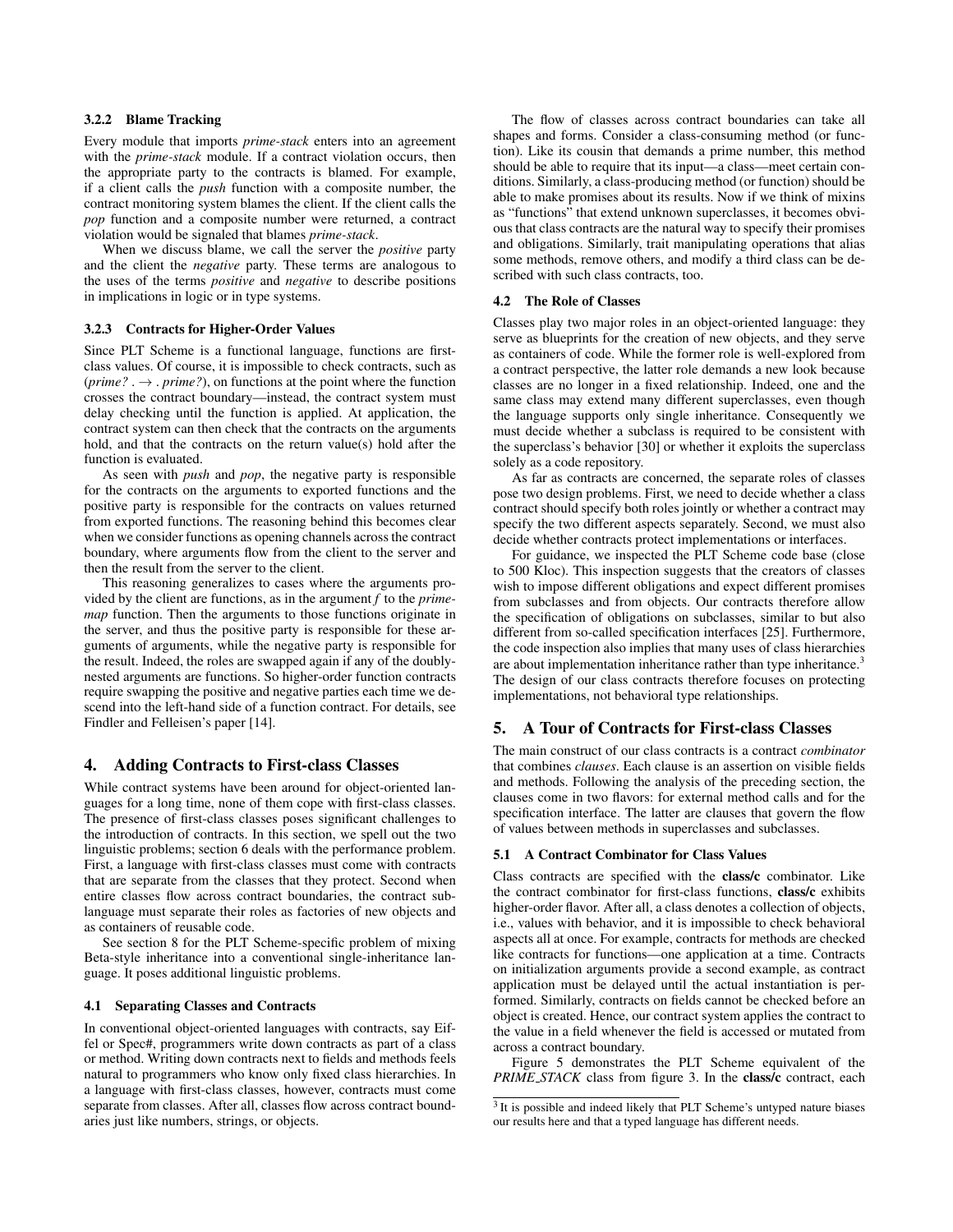# 3.2.2 Blame Tracking

Every module that imports *prime-stack* enters into an agreement with the *prime-stack* module. If a contract violation occurs, then the appropriate party to the contracts is blamed. For example, if a client calls the *push* function with a composite number, the contract monitoring system blames the client. If the client calls the *pop* function and a composite number were returned, a contract violation would be signaled that blames *prime-stack*.

When we discuss blame, we call the server the *positive* party and the client the *negative* party. These terms are analogous to the uses of the terms *positive* and *negative* to describe positions in implications in logic or in type systems.

#### 3.2.3 Contracts for Higher-Order Values

Since PLT Scheme is a functional language, functions are firstclass values. Of course, it is impossible to check contracts, such as  $(prime? \rightarrow prime?)$ , on functions at the point where the function crosses the contract boundary—instead, the contract system must delay checking until the function is applied. At application, the contract system can then check that the contracts on the arguments hold, and that the contracts on the return value(s) hold after the function is evaluated.

As seen with *push* and *pop*, the negative party is responsible for the contracts on the arguments to exported functions and the positive party is responsible for the contracts on values returned from exported functions. The reasoning behind this becomes clear when we consider functions as opening channels across the contract boundary, where arguments flow from the client to the server and then the result from the server to the client.

This reasoning generalizes to cases where the arguments provided by the client are functions, as in the argument *f* to the *primemap* function. Then the arguments to those functions originate in the server, and thus the positive party is responsible for these arguments of arguments, while the negative party is responsible for the result. Indeed, the roles are swapped again if any of the doublynested arguments are functions. So higher-order function contracts require swapping the positive and negative parties each time we descend into the left-hand side of a function contract. For details, see Findler and Felleisen's paper [14].

# 4. Adding Contracts to First-class Classes

While contract systems have been around for object-oriented languages for a long time, none of them cope with first-class classes. The presence of first-class classes poses significant challenges to the introduction of contracts. In this section, we spell out the two linguistic problems; section 6 deals with the performance problem. First, a language with first-class classes must come with contracts that are separate from the classes that they protect. Second when entire classes flow across contract boundaries, the contract sublanguage must separate their roles as factories of new objects and as containers of reusable code.

See section 8 for the PLT Scheme-specific problem of mixing Beta-style inheritance into a conventional single-inheritance language. It poses additional linguistic problems.

#### 4.1 Separating Classes and Contracts

In conventional object-oriented languages with contracts, say Eiffel or Spec#, programmers write down contracts as part of a class or method. Writing down contracts next to fields and methods feels natural to programmers who know only fixed class hierarchies. In a language with first-class classes, however, contracts must come separate from classes. After all, classes flow across contract boundaries just like numbers, strings, or objects.

The flow of classes across contract boundaries can take all shapes and forms. Consider a class-consuming method (or function). Like its cousin that demands a prime number, this method should be able to require that its input—a class—meet certain conditions. Similarly, a class-producing method (or function) should be able to make promises about its results. Now if we think of mixins as "functions" that extend unknown superclasses, it becomes obvious that class contracts are the natural way to specify their promises and obligations. Similarly, trait manipulating operations that alias some methods, remove others, and modify a third class can be described with such class contracts, too.

# 4.2 The Role of Classes

Classes play two major roles in an object-oriented language: they serve as blueprints for the creation of new objects, and they serve as containers of code. While the former role is well-explored from a contract perspective, the latter role demands a new look because classes are no longer in a fixed relationship. Indeed, one and the same class may extend many different superclasses, even though the language supports only single inheritance. Consequently we must decide whether a subclass is required to be consistent with the superclass's behavior [30] or whether it exploits the superclass solely as a code repository.

As far as contracts are concerned, the separate roles of classes pose two design problems. First, we need to decide whether a class contract should specify both roles jointly or whether a contract may specify the two different aspects separately. Second, we must also decide whether contracts protect implementations or interfaces.

For guidance, we inspected the PLT Scheme code base (close to 500 Kloc). This inspection suggests that the creators of classes wish to impose different obligations and expect different promises from subclasses and from objects. Our contracts therefore allow the specification of obligations on subclasses, similar to but also different from so-called specification interfaces [25]. Furthermore, the code inspection also implies that many uses of class hierarchies are about implementation inheritance rather than type inheritance.<sup>3</sup> The design of our class contracts therefore focuses on protecting implementations, not behavioral type relationships.

# 5. A Tour of Contracts for First-class Classes

The main construct of our class contracts is a contract *combinator* that combines *clauses*. Each clause is an assertion on visible fields and methods. Following the analysis of the preceding section, the clauses come in two flavors: for external method calls and for the specification interface. The latter are clauses that govern the flow of values between methods in superclasses and subclasses.

#### 5.1 A Contract Combinator for Class Values

Class contracts are specified with the class/c combinator. Like the contract combinator for first-class functions, class/c exhibits higher-order flavor. After all, a class denotes a collection of objects, i.e., values with behavior, and it is impossible to check behavioral aspects all at once. For example, contracts for methods are checked like contracts for functions—one application at a time. Contracts on initialization arguments provide a second example, as contract application must be delayed until the actual instantiation is performed. Similarly, contracts on fields cannot be checked before an object is created. Hence, our contract system applies the contract to the value in a field whenever the field is accessed or mutated from across a contract boundary.

Figure 5 demonstrates the PLT Scheme equivalent of the *PRIME\_STACK* class from figure 3. In the class/c contract, each

<sup>&</sup>lt;sup>3</sup> It is possible and indeed likely that PLT Scheme's untyped nature biases our results here and that a typed language has different needs.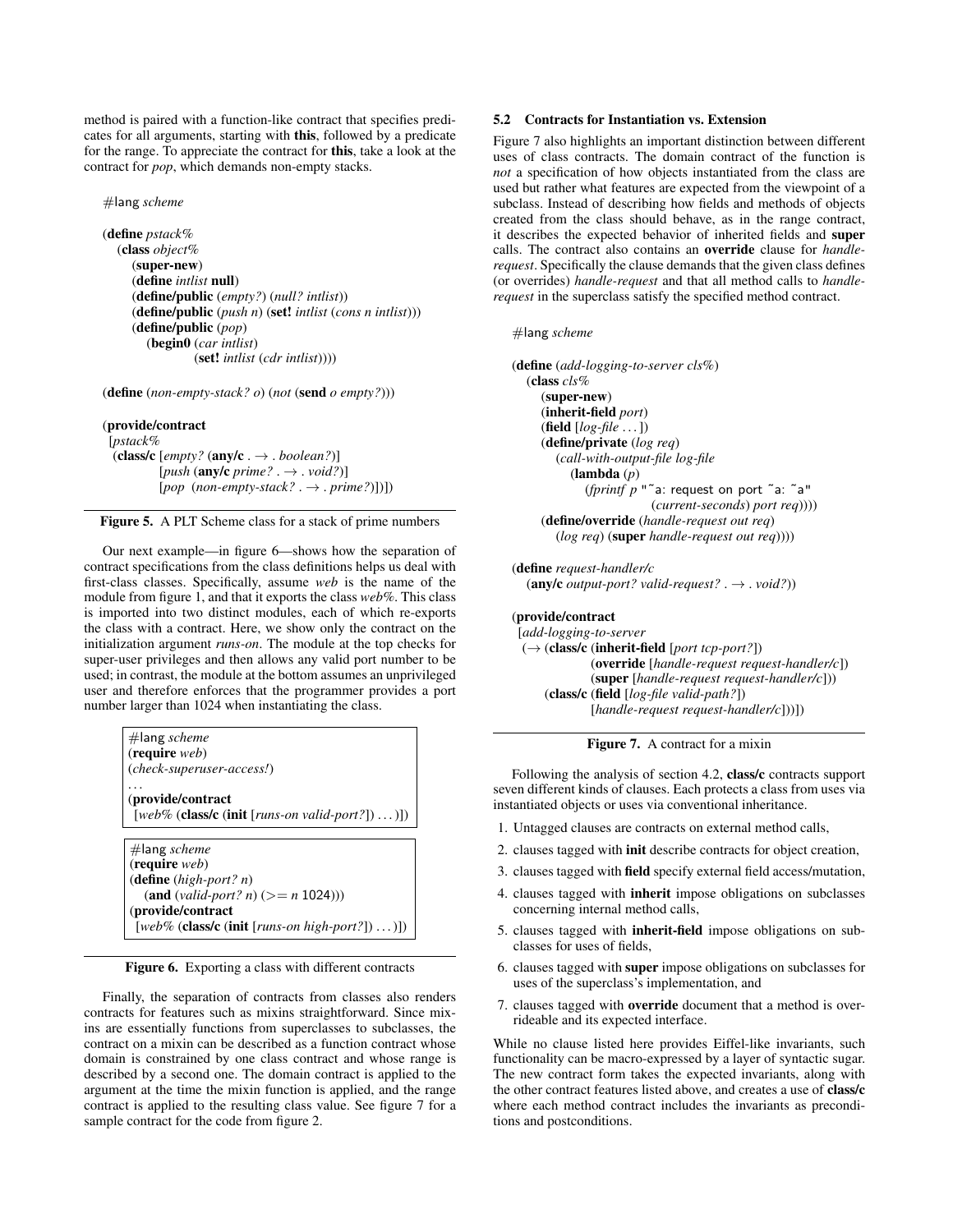method is paired with a function-like contract that specifies predicates for all arguments, starting with this, followed by a predicate for the range. To appreciate the contract for this, take a look at the contract for *pop*, which demands non-empty stacks.

#lang *scheme*

```
(define pstack%
  (class object%
     (super-new)
     (define intlist null)
     (define/public (empty?) (null? intlist))
     (define/public (push n) (set! intlist (cons n intlist)))
     (define/public (pop)
        (begin0 (car intlist)
                 (set! intlist (cdr intlist))))
```
(define (*non-empty-stack? o*) (*not* (send *o empty?*)))

### (provide/contract

[*pstack%* (class/c  $[empty?$  (any/c .  $\rightarrow$  . *boolean?*)] [*push* (any/c *prime?* . → . *void?*)]  $[pop (non-emptystack? . \rightarrow . prime?)])$ 

Figure 5. A PLT Scheme class for a stack of prime numbers

Our next example—in figure 6—shows how the separation of contract specifications from the class definitions helps us deal with first-class classes. Specifically, assume *web* is the name of the module from figure 1, and that it exports the class *web%*. This class is imported into two distinct modules, each of which re-exports the class with a contract. Here, we show only the contract on the initialization argument *runs-on*. The module at the top checks for super-user privileges and then allows any valid port number to be used; in contrast, the module at the bottom assumes an unprivileged user and therefore enforces that the programmer provides a port number larger than 1024 when instantiating the class.

| $#$ lang scheme                                                   |
|-------------------------------------------------------------------|
| ( <b>require</b> web)<br>(check-superuser-access!)                |
|                                                                   |
| (provide/contract)                                                |
| [web% ( <b>class/c</b> (init [ <i>runs-on valid-port?</i> ])  )]) |
|                                                                   |
| $#$ lang scheme                                                   |
| ( <b>require</b> web)                                             |
| (define $(high-port? n)$ )                                        |
| $(\text{and } (valid-port? n) (> = n 1024)))$                     |
| (provide/contract                                                 |
| [web% (class/c (init [runs-on high-port?]) )])                    |

Figure 6. Exporting a class with different contracts

Finally, the separation of contracts from classes also renders contracts for features such as mixins straightforward. Since mixins are essentially functions from superclasses to subclasses, the contract on a mixin can be described as a function contract whose domain is constrained by one class contract and whose range is described by a second one. The domain contract is applied to the argument at the time the mixin function is applied, and the range contract is applied to the resulting class value. See figure 7 for a sample contract for the code from figure 2.

# 5.2 Contracts for Instantiation vs. Extension

Figure 7 also highlights an important distinction between different uses of class contracts. The domain contract of the function is *not* a specification of how objects instantiated from the class are used but rather what features are expected from the viewpoint of a subclass. Instead of describing how fields and methods of objects created from the class should behave, as in the range contract, it describes the expected behavior of inherited fields and super calls. The contract also contains an override clause for *handlerequest*. Specifically the clause demands that the given class defines (or overrides) *handle-request* and that all method calls to *handlerequest* in the superclass satisfy the specified method contract.

# #lang *scheme*

```
(define (add-logging-to-server cls%)
  (class cls%
     (super-new)
     (inherit-field port)
     (field [log-file . . . ])
     (define/private (log req)
       (call-with-output-file log-file
          (lambda (p)
             (fprintf p "˜a: request on port ˜a: ˜a"
                         (current-seconds) port req))))
     (define/override (handle-request out req)
        (log req) (super handle-request out req))))
```
(define *request-handler/c*  $(\text{any/c output-port? valid-request? \rightarrow void?)$ 

```
(provide/contract
 [add-logging-to-server
 (→ (class/c (inherit-field [port tcp-port?])
              (override [handle-request request-handler/c])
              (super [handle-request request-handler/c]))
     (class/c (field [log-file valid-path?])
              [handle-request request-handler/c]))])
```
Figure 7. A contract for a mixin

Following the analysis of section 4.2, class/c contracts support seven different kinds of clauses. Each protects a class from uses via instantiated objects or uses via conventional inheritance.

- 1. Untagged clauses are contracts on external method calls,
- 2. clauses tagged with init describe contracts for object creation,
- 3. clauses tagged with field specify external field access/mutation,
- 4. clauses tagged with inherit impose obligations on subclasses concerning internal method calls,
- 5. clauses tagged with inherit-field impose obligations on subclasses for uses of fields,
- 6. clauses tagged with super impose obligations on subclasses for uses of the superclass's implementation, and
- 7. clauses tagged with override document that a method is overrideable and its expected interface.

While no clause listed here provides Eiffel-like invariants, such functionality can be macro-expressed by a layer of syntactic sugar. The new contract form takes the expected invariants, along with the other contract features listed above, and creates a use of class/c where each method contract includes the invariants as preconditions and postconditions.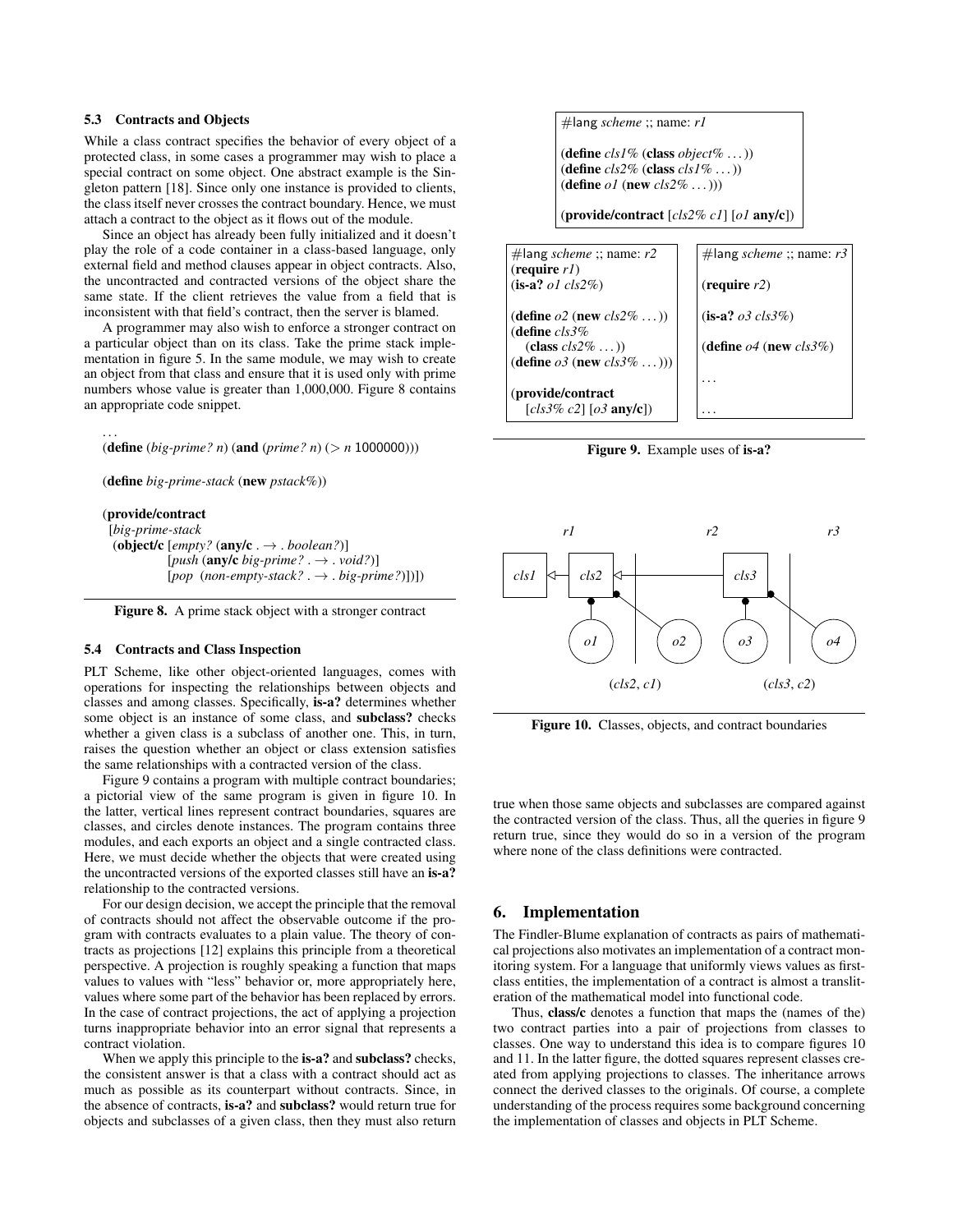# 5.3 Contracts and Objects

While a class contract specifies the behavior of every object of a protected class, in some cases a programmer may wish to place a special contract on some object. One abstract example is the Singleton pattern [18]. Since only one instance is provided to clients, the class itself never crosses the contract boundary. Hence, we must attach a contract to the object as it flows out of the module.

Since an object has already been fully initialized and it doesn't play the role of a code container in a class-based language, only external field and method clauses appear in object contracts. Also, the uncontracted and contracted versions of the object share the same state. If the client retrieves the value from a field that is inconsistent with that field's contract, then the server is blamed.

A programmer may also wish to enforce a stronger contract on a particular object than on its class. Take the prime stack implementation in figure 5. In the same module, we may wish to create an object from that class and ensure that it is used only with prime numbers whose value is greater than 1,000,000. Figure 8 contains an appropriate code snippet.

(define (*big-prime? n*) (and (*prime? n*) (> *n* 1000000)))

(define *big-prime-stack* (new *pstack%*))

# (provide/contract

. . .

[*big-prime-stack* (object/c [*empty?* (any/c . → . *boolean?*)]  $[push(**any/c** *big-prime?*. \rightarrow *void?*)]$ [*pop* (*non-empty-stack?* . → . *big-prime?*)])])

Figure 8. A prime stack object with a stronger contract

# 5.4 Contracts and Class Inspection

PLT Scheme, like other object-oriented languages, comes with operations for inspecting the relationships between objects and classes and among classes. Specifically, is-a? determines whether some object is an instance of some class, and subclass? checks whether a given class is a subclass of another one. This, in turn, raises the question whether an object or class extension satisfies the same relationships with a contracted version of the class.

Figure 9 contains a program with multiple contract boundaries; a pictorial view of the same program is given in figure 10. In the latter, vertical lines represent contract boundaries, squares are classes, and circles denote instances. The program contains three modules, and each exports an object and a single contracted class. Here, we must decide whether the objects that were created using the uncontracted versions of the exported classes still have an is-a? relationship to the contracted versions.

For our design decision, we accept the principle that the removal of contracts should not affect the observable outcome if the program with contracts evaluates to a plain value. The theory of contracts as projections [12] explains this principle from a theoretical perspective. A projection is roughly speaking a function that maps values to values with "less" behavior or, more appropriately here, values where some part of the behavior has been replaced by errors. In the case of contract projections, the act of applying a projection turns inappropriate behavior into an error signal that represents a contract violation.

When we apply this principle to the is-a? and subclass? checks, the consistent answer is that a class with a contract should act as much as possible as its counterpart without contracts. Since, in the absence of contracts, is-a? and subclass? would return true for objects and subclasses of a given class, then they must also return #lang *scheme* ;; name: *r1*

(define *cls1%* (class *object%* . . . )) (define *cls2%* (class *cls1%* . . . )) (define *o1* (new *cls2%* . . . )))

(provide/contract [*cls2% c1*] [*o1* any/c])



Figure 9. Example uses of is-a?



Figure 10. Classes, objects, and contract boundaries

true when those same objects and subclasses are compared against the contracted version of the class. Thus, all the queries in figure 9 return true, since they would do so in a version of the program where none of the class definitions were contracted.

# 6. Implementation

The Findler-Blume explanation of contracts as pairs of mathematical projections also motivates an implementation of a contract monitoring system. For a language that uniformly views values as firstclass entities, the implementation of a contract is almost a transliteration of the mathematical model into functional code.

Thus, class/c denotes a function that maps the (names of the) two contract parties into a pair of projections from classes to classes. One way to understand this idea is to compare figures 10 and 11. In the latter figure, the dotted squares represent classes created from applying projections to classes. The inheritance arrows connect the derived classes to the originals. Of course, a complete understanding of the process requires some background concerning the implementation of classes and objects in PLT Scheme.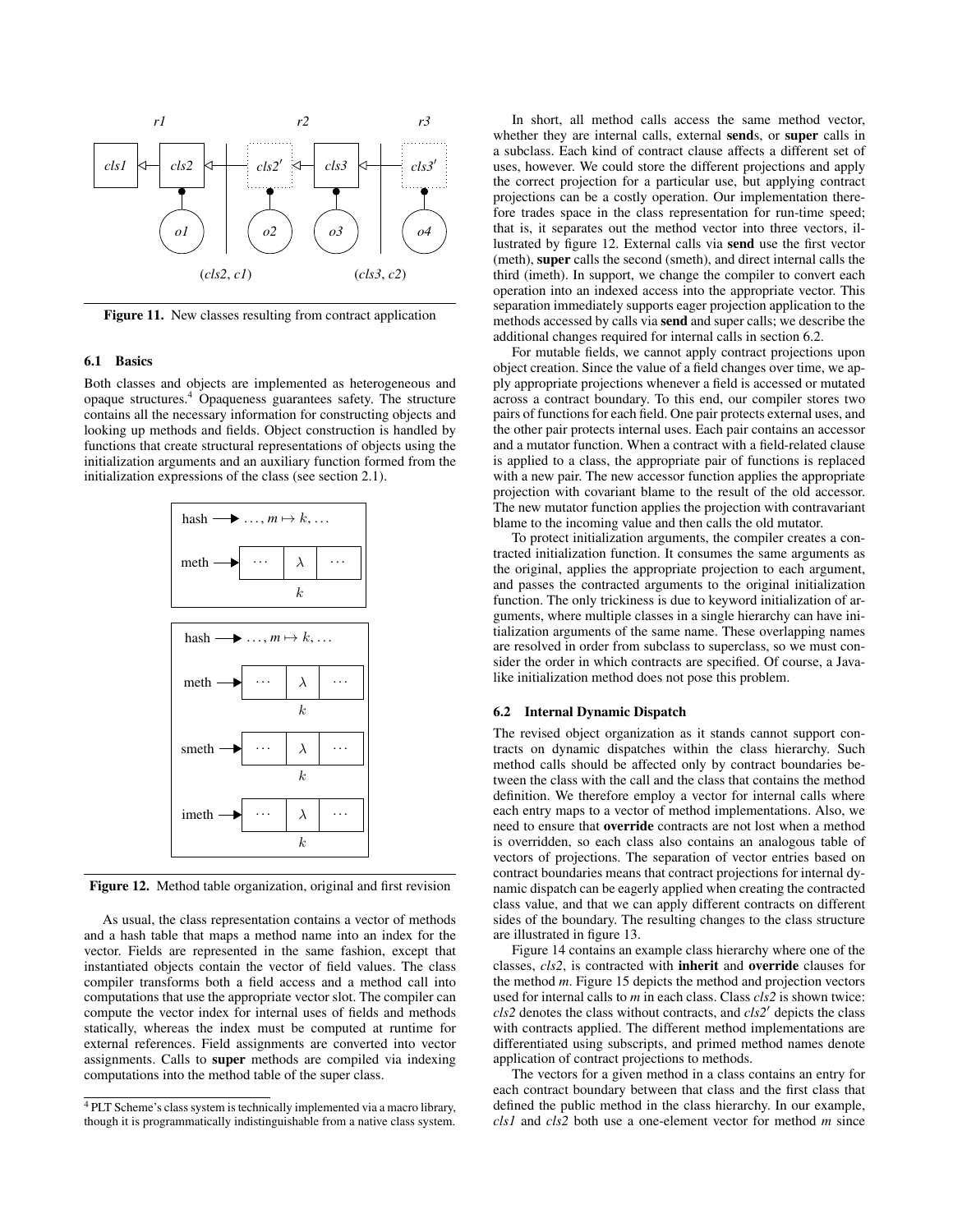

Figure 11. New classes resulting from contract application

## 6.1 Basics

Both classes and objects are implemented as heterogeneous and opaque structures.<sup>4</sup> Opaqueness guarantees safety. The structure contains all the necessary information for constructing objects and looking up methods and fields. Object construction is handled by functions that create structural representations of objects using the initialization arguments and an auxiliary function formed from the initialization expressions of the class (see section 2.1).



Figure 12. Method table organization, original and first revision

As usual, the class representation contains a vector of methods and a hash table that maps a method name into an index for the vector. Fields are represented in the same fashion, except that instantiated objects contain the vector of field values. The class compiler transforms both a field access and a method call into computations that use the appropriate vector slot. The compiler can compute the vector index for internal uses of fields and methods statically, whereas the index must be computed at runtime for external references. Field assignments are converted into vector assignments. Calls to super methods are compiled via indexing computations into the method table of the super class.

In short, all method calls access the same method vector, whether they are internal calls, external sends, or super calls in a subclass. Each kind of contract clause affects a different set of uses, however. We could store the different projections and apply the correct projection for a particular use, but applying contract projections can be a costly operation. Our implementation therefore trades space in the class representation for run-time speed; that is, it separates out the method vector into three vectors, illustrated by figure 12. External calls via send use the first vector (meth), super calls the second (smeth), and direct internal calls the third (imeth). In support, we change the compiler to convert each operation into an indexed access into the appropriate vector. This separation immediately supports eager projection application to the methods accessed by calls via send and super calls; we describe the additional changes required for internal calls in section 6.2.

For mutable fields, we cannot apply contract projections upon object creation. Since the value of a field changes over time, we apply appropriate projections whenever a field is accessed or mutated across a contract boundary. To this end, our compiler stores two pairs of functions for each field. One pair protects external uses, and the other pair protects internal uses. Each pair contains an accessor and a mutator function. When a contract with a field-related clause is applied to a class, the appropriate pair of functions is replaced with a new pair. The new accessor function applies the appropriate projection with covariant blame to the result of the old accessor. The new mutator function applies the projection with contravariant blame to the incoming value and then calls the old mutator.

To protect initialization arguments, the compiler creates a contracted initialization function. It consumes the same arguments as the original, applies the appropriate projection to each argument, and passes the contracted arguments to the original initialization function. The only trickiness is due to keyword initialization of arguments, where multiple classes in a single hierarchy can have initialization arguments of the same name. These overlapping names are resolved in order from subclass to superclass, so we must consider the order in which contracts are specified. Of course, a Javalike initialization method does not pose this problem.

## 6.2 Internal Dynamic Dispatch

The revised object organization as it stands cannot support contracts on dynamic dispatches within the class hierarchy. Such method calls should be affected only by contract boundaries between the class with the call and the class that contains the method definition. We therefore employ a vector for internal calls where each entry maps to a vector of method implementations. Also, we need to ensure that override contracts are not lost when a method is overridden, so each class also contains an analogous table of vectors of projections. The separation of vector entries based on contract boundaries means that contract projections for internal dynamic dispatch can be eagerly applied when creating the contracted class value, and that we can apply different contracts on different sides of the boundary. The resulting changes to the class structure are illustrated in figure 13.

Figure 14 contains an example class hierarchy where one of the classes, *cls2*, is contracted with inherit and override clauses for the method *m*. Figure 15 depicts the method and projection vectors used for internal calls to *m* in each class. Class *cls2* is shown twice:  $cls2$  denotes the class without contracts, and  $cls2'$  depicts the class with contracts applied. The different method implementations are differentiated using subscripts, and primed method names denote application of contract projections to methods.

The vectors for a given method in a class contains an entry for each contract boundary between that class and the first class that defined the public method in the class hierarchy. In our example, *cls1* and *cls2* both use a one-element vector for method *m* since

<sup>4</sup> PLT Scheme's class system is technically implemented via a macro library, though it is programmatically indistinguishable from a native class system.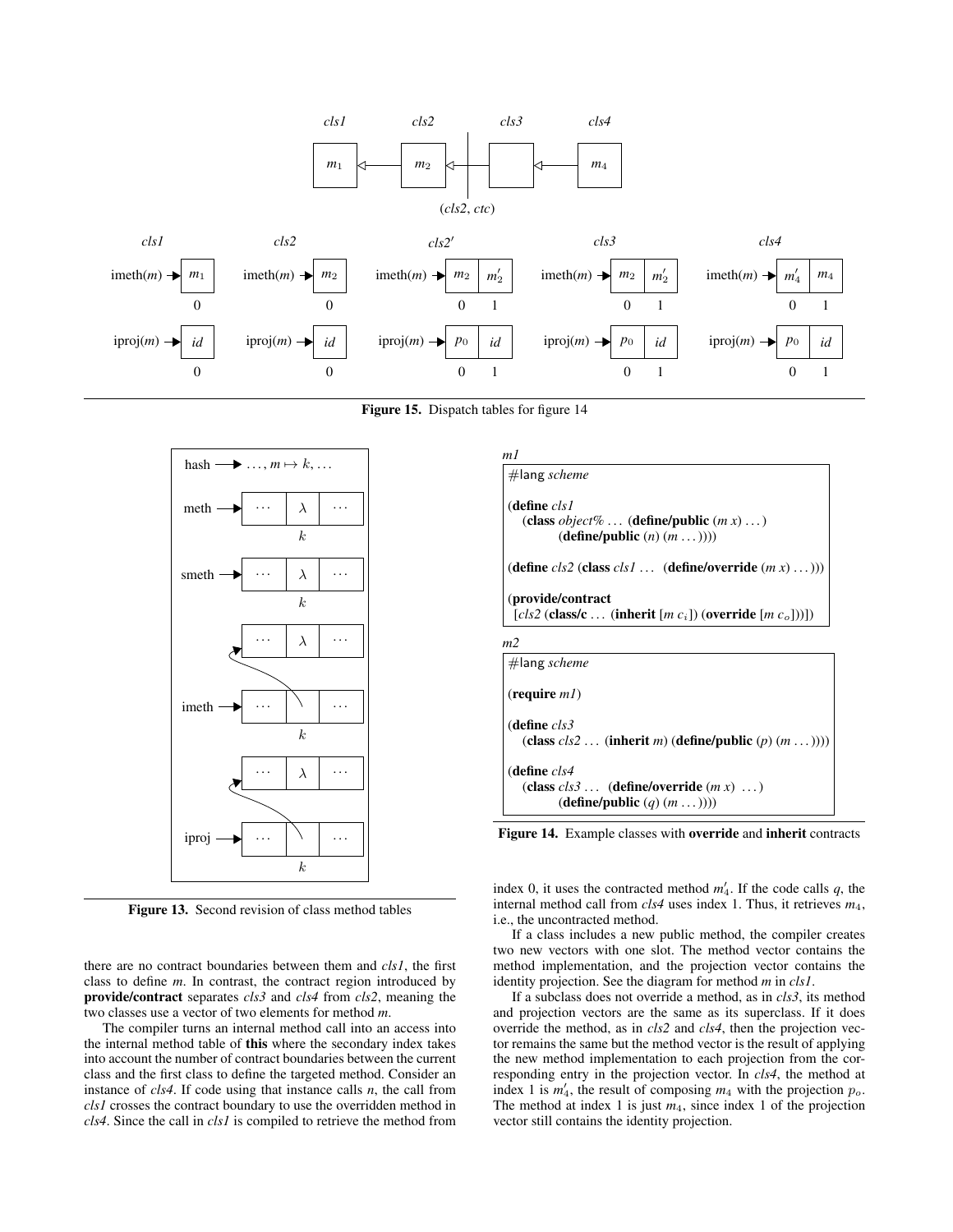

Figure 15. Dispatch tables for figure 14



Figure 13. Second revision of class method tables

there are no contract boundaries between them and *cls1*, the first class to define *m*. In contrast, the contract region introduced by provide/contract separates *cls3* and *cls4* from *cls2*, meaning the two classes use a vector of two elements for method *m*.

The compiler turns an internal method call into an access into the internal method table of this where the secondary index takes into account the number of contract boundaries between the current class and the first class to define the targeted method. Consider an instance of *cls4*. If code using that instance calls *n*, the call from *cls1* crosses the contract boundary to use the overridden method in *cls4*. Since the call in *cls1* is compiled to retrieve the method from



Figure 14. Example classes with override and inherit contracts

index 0, it uses the contracted method  $m'_4$ . If the code calls  $q$ , the internal method call from *cls4* uses index 1. Thus, it retrieves *m*4, i.e., the uncontracted method.

If a class includes a new public method, the compiler creates two new vectors with one slot. The method vector contains the method implementation, and the projection vector contains the identity projection. See the diagram for method *m* in *cls1*.

If a subclass does not override a method, as in *cls3*, its method and projection vectors are the same as its superclass. If it does override the method, as in *cls2* and *cls4*, then the projection vector remains the same but the method vector is the result of applying the new method implementation to each projection from the corresponding entry in the projection vector. In *cls4*, the method at index 1 is  $m'_4$ , the result of composing  $m_4$  with the projection  $p_o$ . The method at index 1 is just  $m_4$ , since index 1 of the projection vector still contains the identity projection.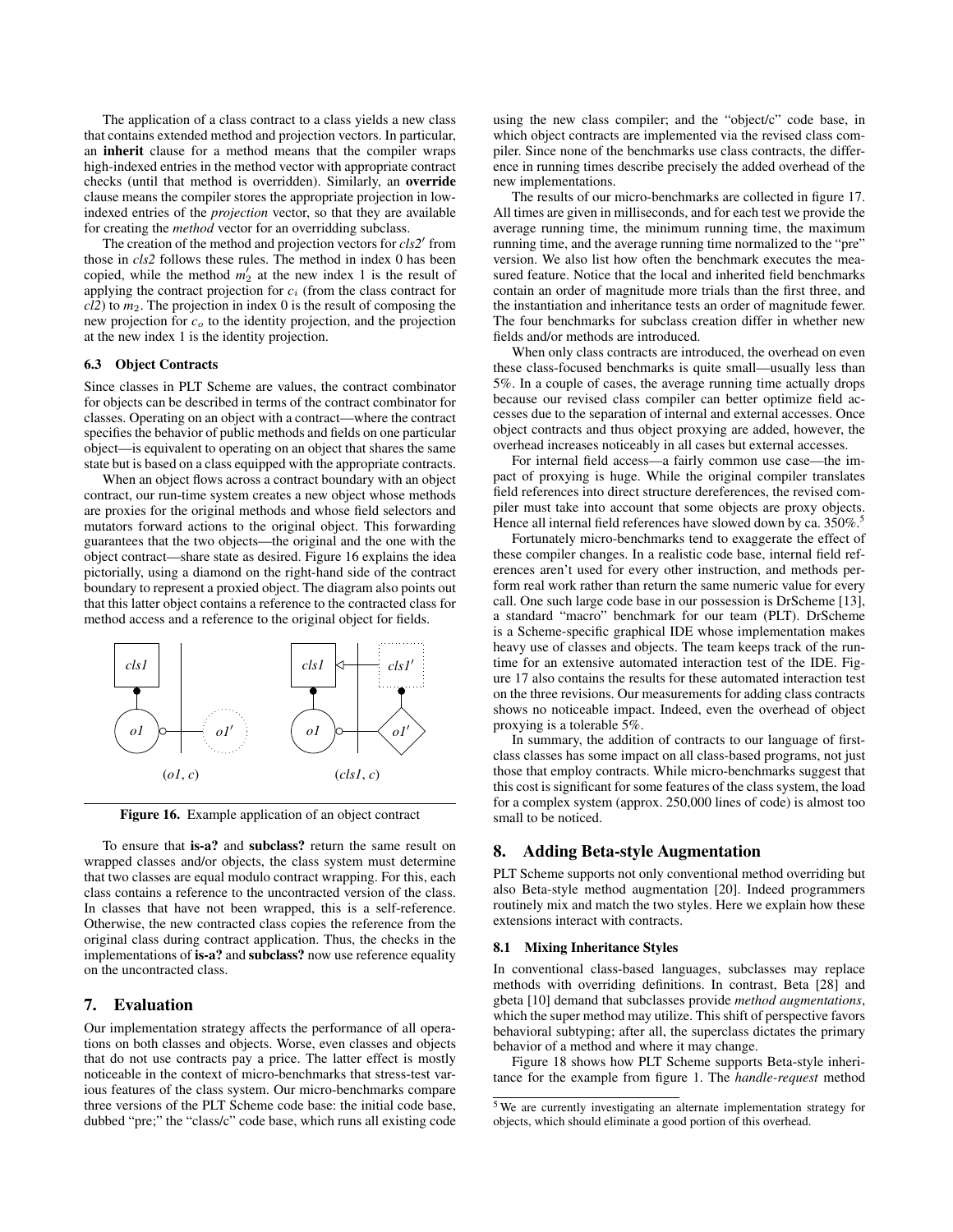The application of a class contract to a class yields a new class that contains extended method and projection vectors. In particular, an inherit clause for a method means that the compiler wraps high-indexed entries in the method vector with appropriate contract checks (until that method is overridden). Similarly, an override clause means the compiler stores the appropriate projection in lowindexed entries of the *projection* vector, so that they are available for creating the *method* vector for an overridding subclass.

The creation of the method and projection vectors for *cls2'* from those in *cls2* follows these rules. The method in index 0 has been copied, while the method  $m'_2$  at the new index 1 is the result of applying the contract projection for *c*<sup>i</sup> (from the class contract for *cl2*) to *m*2. The projection in index 0 is the result of composing the new projection for *c*<sup>o</sup> to the identity projection, and the projection at the new index 1 is the identity projection.

## 6.3 Object Contracts

Since classes in PLT Scheme are values, the contract combinator for objects can be described in terms of the contract combinator for classes. Operating on an object with a contract—where the contract specifies the behavior of public methods and fields on one particular object—is equivalent to operating on an object that shares the same state but is based on a class equipped with the appropriate contracts.

When an object flows across a contract boundary with an object contract, our run-time system creates a new object whose methods are proxies for the original methods and whose field selectors and mutators forward actions to the original object. This forwarding guarantees that the two objects—the original and the one with the object contract—share state as desired. Figure 16 explains the idea pictorially, using a diamond on the right-hand side of the contract boundary to represent a proxied object. The diagram also points out that this latter object contains a reference to the contracted class for method access and a reference to the original object for fields.



Figure 16. Example application of an object contract

To ensure that is-a? and subclass? return the same result on wrapped classes and/or objects, the class system must determine that two classes are equal modulo contract wrapping. For this, each class contains a reference to the uncontracted version of the class. In classes that have not been wrapped, this is a self-reference. Otherwise, the new contracted class copies the reference from the original class during contract application. Thus, the checks in the implementations of is-a? and subclass? now use reference equality on the uncontracted class.

## 7. Evaluation

Our implementation strategy affects the performance of all operations on both classes and objects. Worse, even classes and objects that do not use contracts pay a price. The latter effect is mostly noticeable in the context of micro-benchmarks that stress-test various features of the class system. Our micro-benchmarks compare three versions of the PLT Scheme code base: the initial code base, dubbed "pre;" the "class/c" code base, which runs all existing code using the new class compiler; and the "object/c" code base, in which object contracts are implemented via the revised class compiler. Since none of the benchmarks use class contracts, the difference in running times describe precisely the added overhead of the new implementations.

The results of our micro-benchmarks are collected in figure 17. All times are given in milliseconds, and for each test we provide the average running time, the minimum running time, the maximum running time, and the average running time normalized to the "pre" version. We also list how often the benchmark executes the measured feature. Notice that the local and inherited field benchmarks contain an order of magnitude more trials than the first three, and the instantiation and inheritance tests an order of magnitude fewer. The four benchmarks for subclass creation differ in whether new fields and/or methods are introduced.

When only class contracts are introduced, the overhead on even these class-focused benchmarks is quite small—usually less than 5%. In a couple of cases, the average running time actually drops because our revised class compiler can better optimize field accesses due to the separation of internal and external accesses. Once object contracts and thus object proxying are added, however, the overhead increases noticeably in all cases but external accesses.

For internal field access—a fairly common use case—the impact of proxying is huge. While the original compiler translates field references into direct structure dereferences, the revised compiler must take into account that some objects are proxy objects. Hence all internal field references have slowed down by ca. 350%.<sup>5</sup>

Fortunately micro-benchmarks tend to exaggerate the effect of these compiler changes. In a realistic code base, internal field references aren't used for every other instruction, and methods perform real work rather than return the same numeric value for every call. One such large code base in our possession is DrScheme [13], a standard "macro" benchmark for our team (PLT). DrScheme is a Scheme-specific graphical IDE whose implementation makes heavy use of classes and objects. The team keeps track of the runtime for an extensive automated interaction test of the IDE. Figure 17 also contains the results for these automated interaction test on the three revisions. Our measurements for adding class contracts shows no noticeable impact. Indeed, even the overhead of object proxying is a tolerable 5%.

In summary, the addition of contracts to our language of firstclass classes has some impact on all class-based programs, not just those that employ contracts. While micro-benchmarks suggest that this cost is significant for some features of the class system, the load for a complex system (approx. 250,000 lines of code) is almost too small to be noticed.

## 8. Adding Beta-style Augmentation

PLT Scheme supports not only conventional method overriding but also Beta-style method augmentation [20]. Indeed programmers routinely mix and match the two styles. Here we explain how these extensions interact with contracts.

#### 8.1 Mixing Inheritance Styles

In conventional class-based languages, subclasses may replace methods with overriding definitions. In contrast, Beta [28] and gbeta [10] demand that subclasses provide *method augmentations*, which the super method may utilize. This shift of perspective favors behavioral subtyping; after all, the superclass dictates the primary behavior of a method and where it may change.

Figure 18 shows how PLT Scheme supports Beta-style inheritance for the example from figure 1. The *handle-request* method

<sup>5</sup> We are currently investigating an alternate implementation strategy for objects, which should eliminate a good portion of this overhead.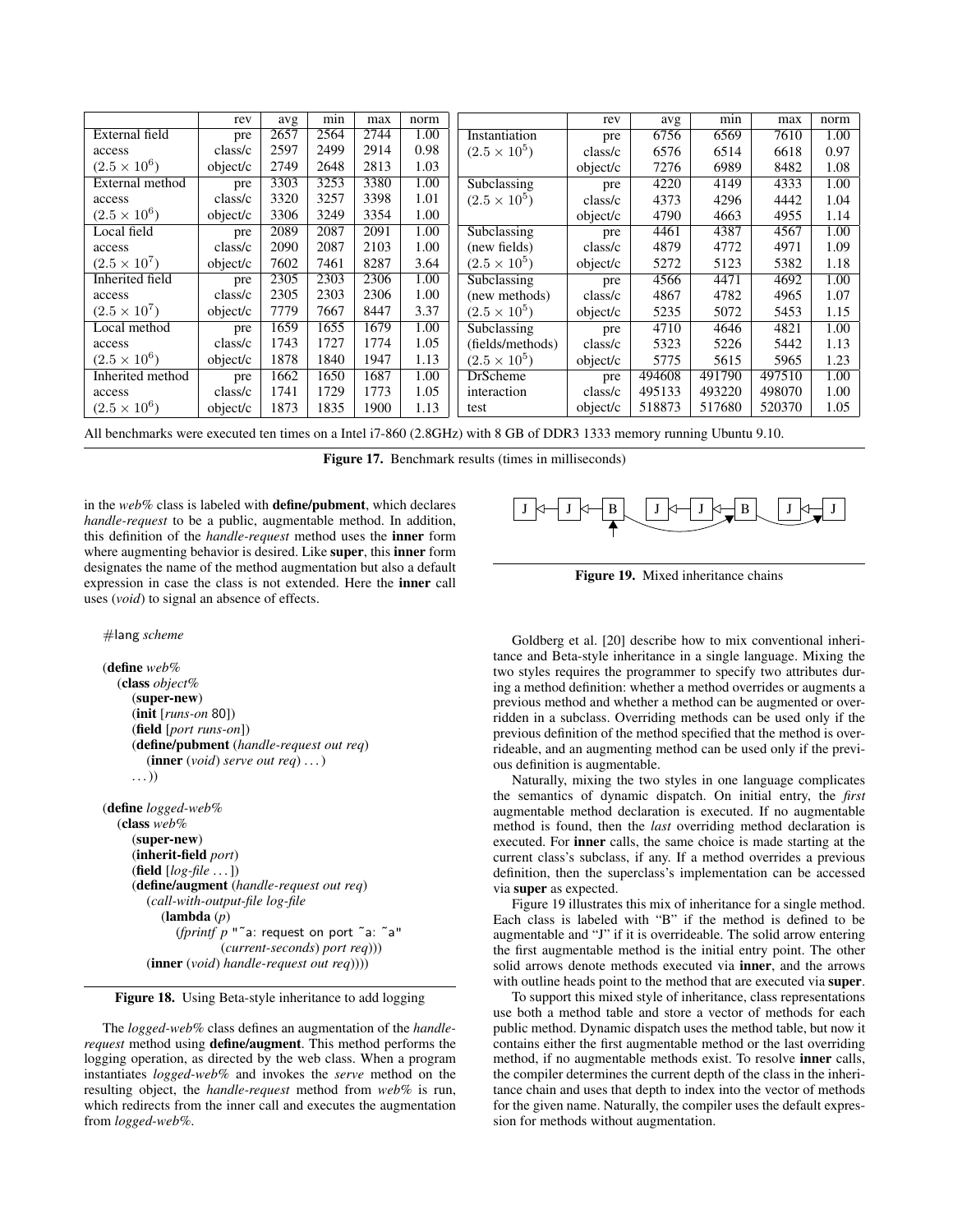|                     | rev      | avg  | min  | max  | norm              |                       | rev      | avg    | min    | max    | norm |
|---------------------|----------|------|------|------|-------------------|-----------------------|----------|--------|--------|--------|------|
| External field      | pre      | 2657 | 2564 | 2744 | 1.00              | Instantiation         | pre      | 6756   | 6569   | 7610   | 1.00 |
| access              | class/c  | 2597 | 2499 | 2914 | 0.98              | $(2.5 \times 10^{5})$ | class/c  | 6576   | 6514   | 6618   | 0.97 |
| $(2.5 \times 10^6)$ | object/c | 2749 | 2648 | 2813 | 1.03              |                       | object/c | 7276   | 6989   | 8482   | 1.08 |
| External method     | pre      | 3303 | 3253 | 3380 | 1.00              | Subclassing           | pre      | 4220   | 4149   | 4333   | 1.00 |
| access              | class/c  | 3320 | 3257 | 3398 | 1.01              | $(2.5 \times 10^{5})$ | class/c  | 4373   | 4296   | 4442   | 1.04 |
| $(2.5 \times 10^6)$ | object/c | 3306 | 3249 | 3354 | 1.00              |                       | object/c | 4790   | 4663   | 4955   | 1.14 |
| Local field         | pre      | 2089 | 2087 | 2091 | 1.00              | Subclassing           | pre      | 4461   | 4387   | 4567   | 1.00 |
| access              | class/c  | 2090 | 2087 | 2103 | 1.00              | (new fields)          | class/c  | 4879   | 4772   | 4971   | 1.09 |
| $(2.5 \times 10^7)$ | object/c | 7602 | 7461 | 8287 | 3.64              | $(2.5 \times 10^{5})$ | object/c | 5272   | 5123   | 5382   | 1.18 |
| Inherited field     | pre      | 2305 | 2303 | 2306 | 1.00              | Subclassing           | pre      | 4566   | 4471   | 4692   | 1.00 |
| access              | class/c  | 2305 | 2303 | 2306 | 1.00              | (new methods)         | class/c  | 4867   | 4782   | 4965   | 1.07 |
| $(2.5 \times 10^7)$ | object/c | 7779 | 7667 | 8447 | 3.37              | $(2.5 \times 10^5)$   | object/c | 5235   | 5072   | 5453   | 1.15 |
| Local method        | pre      | 1659 | 1655 | 1679 | 1.00              | Subclassing           | pre      | 4710   | 4646   | 4821   | 1.00 |
| access              | class/c  | 1743 | 1727 | 1774 | 1.05              | (fields/methods)      | class/c  | 5323   | 5226   | 5442   | 1.13 |
| $(2.5 \times 10^6)$ | object/c | 1878 | 1840 | 1947 | 1.13              | $(2.5 \times 10^{5})$ | object/c | 5775   | 5615   | 5965   | 1.23 |
| Inherited method    | pre      | 1662 | 1650 | 1687 | $\overline{1.00}$ | <b>DrScheme</b>       | pre      | 494608 | 491790 | 497510 | 1.00 |
| access              | class/c  | 1741 | 1729 | 1773 | 1.05              | interaction           | class/c  | 495133 | 493220 | 498070 | 1.00 |
| $(2.5 \times 10^6)$ | object/c | 1873 | 1835 | 1900 | 1.13              | test                  | object/c | 518873 | 517680 | 520370 | 1.05 |

All benchmarks were executed ten times on a Intel i7-860 (2.8GHz) with 8 GB of DDR3 1333 memory running Ubuntu 9.10.

Figure 17. Benchmark results (times in milliseconds)

in the *web%* class is labeled with define/pubment, which declares *handle-request* to be a public, augmentable method. In addition, this definition of the *handle-request* method uses the inner form where augmenting behavior is desired. Like super, this inner form designates the name of the method augmentation but also a default expression in case the class is not extended. Here the inner call uses (*void*) to signal an absence of effects.

#### #lang *scheme*

```
(define web%
  (class object%
     (super-new)
     (init [runs-on 80])
     (field [port runs-on])
     (define/pubment (handle-request out req)
        (inner (void) serve out req) . . . )
     \ldots)
(define logged-web%
  (class web%
     (super-new)
     (inherit-field port)
```

```
(field [log-file . . . ])
(define/augment (handle-request out req)
  (call-with-output-file log-file
     (lambda (p)
        (fprintf p "˜a: request on port ˜a: ˜a"
                (current-seconds) port req)))
  (inner (void) handle-request out req))))
```
## Figure 18. Using Beta-style inheritance to add logging

The *logged-web%* class defines an augmentation of the *handlerequest* method using define/augment. This method performs the logging operation, as directed by the web class. When a program instantiates *logged-web%* and invokes the *serve* method on the resulting object, the *handle-request* method from *web%* is run, which redirects from the inner call and executes the augmentation from *logged-web%*.



Figure 19. Mixed inheritance chains

Goldberg et al. [20] describe how to mix conventional inheritance and Beta-style inheritance in a single language. Mixing the two styles requires the programmer to specify two attributes during a method definition: whether a method overrides or augments a previous method and whether a method can be augmented or overridden in a subclass. Overriding methods can be used only if the previous definition of the method specified that the method is overrideable, and an augmenting method can be used only if the previous definition is augmentable.

Naturally, mixing the two styles in one language complicates the semantics of dynamic dispatch. On initial entry, the *first* augmentable method declaration is executed. If no augmentable method is found, then the *last* overriding method declaration is executed. For inner calls, the same choice is made starting at the current class's subclass, if any. If a method overrides a previous definition, then the superclass's implementation can be accessed via super as expected.

Figure 19 illustrates this mix of inheritance for a single method. Each class is labeled with "B" if the method is defined to be augmentable and "J" if it is overrideable. The solid arrow entering the first augmentable method is the initial entry point. The other solid arrows denote methods executed via inner, and the arrows with outline heads point to the method that are executed via **super**.

To support this mixed style of inheritance, class representations use both a method table and store a vector of methods for each public method. Dynamic dispatch uses the method table, but now it contains either the first augmentable method or the last overriding method, if no augmentable methods exist. To resolve inner calls, the compiler determines the current depth of the class in the inheritance chain and uses that depth to index into the vector of methods for the given name. Naturally, the compiler uses the default expression for methods without augmentation.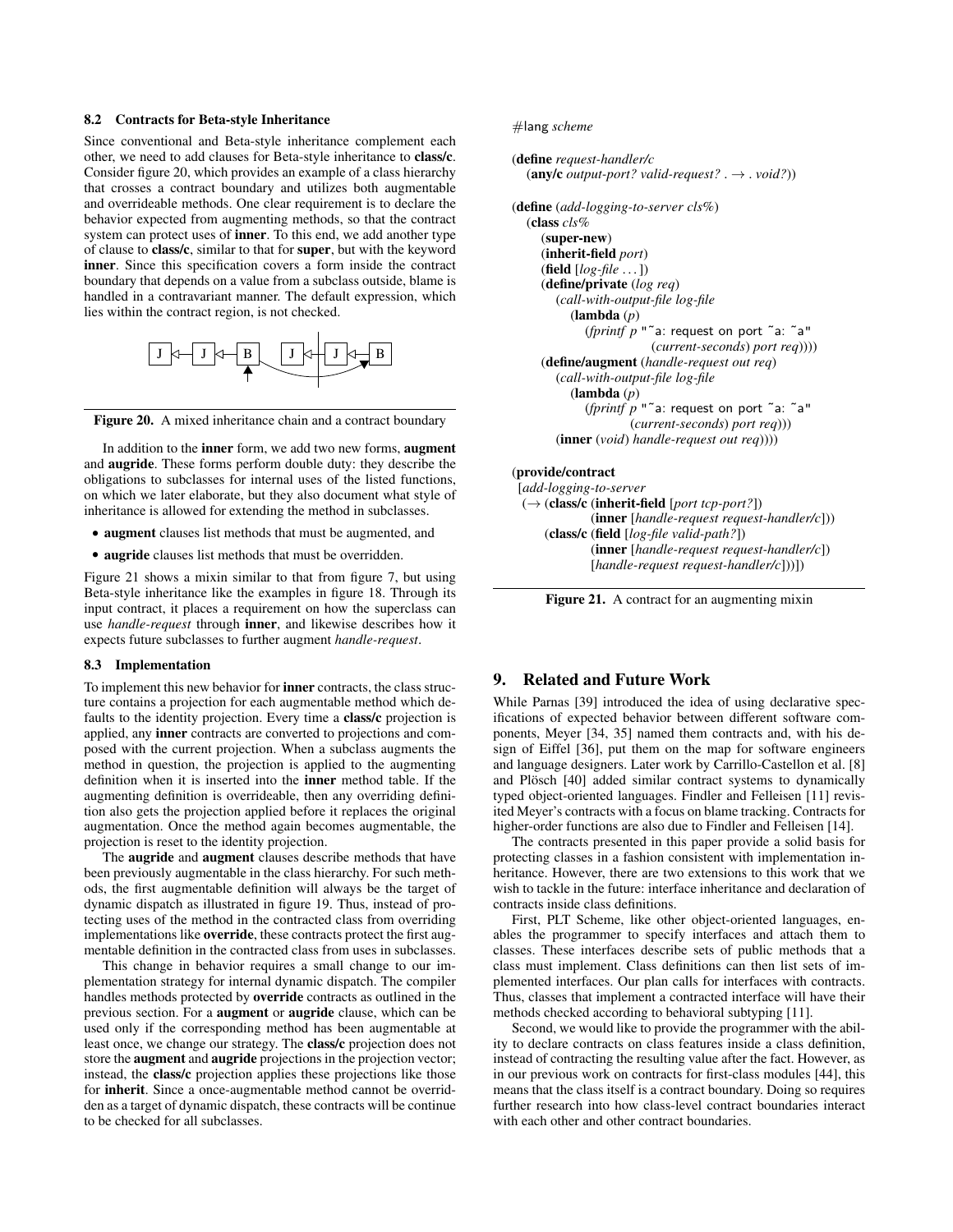## 8.2 Contracts for Beta-style Inheritance

Since conventional and Beta-style inheritance complement each other, we need to add clauses for Beta-style inheritance to class/c. Consider figure 20, which provides an example of a class hierarchy that crosses a contract boundary and utilizes both augmentable and overrideable methods. One clear requirement is to declare the behavior expected from augmenting methods, so that the contract system can protect uses of **inner**. To this end, we add another type of clause to class/c, similar to that for super, but with the keyword inner. Since this specification covers a form inside the contract boundary that depends on a value from a subclass outside, blame is handled in a contravariant manner. The default expression, which lies within the contract region, is not checked.





In addition to the **inner** form, we add two new forms, **augment** and augride. These forms perform double duty: they describe the obligations to subclasses for internal uses of the listed functions, on which we later elaborate, but they also document what style of inheritance is allowed for extending the method in subclasses.

- augment clauses list methods that must be augmented, and
- augride clauses list methods that must be overridden.

Figure 21 shows a mixin similar to that from figure 7, but using Beta-style inheritance like the examples in figure 18. Through its input contract, it places a requirement on how the superclass can use *handle-request* through inner, and likewise describes how it expects future subclasses to further augment *handle-request*.

## 8.3 Implementation

To implement this new behavior for inner contracts, the class structure contains a projection for each augmentable method which defaults to the identity projection. Every time a class/c projection is applied, any inner contracts are converted to projections and composed with the current projection. When a subclass augments the method in question, the projection is applied to the augmenting definition when it is inserted into the inner method table. If the augmenting definition is overrideable, then any overriding definition also gets the projection applied before it replaces the original augmentation. Once the method again becomes augmentable, the projection is reset to the identity projection.

The augride and augment clauses describe methods that have been previously augmentable in the class hierarchy. For such methods, the first augmentable definition will always be the target of dynamic dispatch as illustrated in figure 19. Thus, instead of protecting uses of the method in the contracted class from overriding implementations like override, these contracts protect the first augmentable definition in the contracted class from uses in subclasses.

This change in behavior requires a small change to our implementation strategy for internal dynamic dispatch. The compiler handles methods protected by override contracts as outlined in the previous section. For a augment or augride clause, which can be used only if the corresponding method has been augmentable at least once, we change our strategy. The class/c projection does not store the augment and augride projections in the projection vector; instead, the class/c projection applies these projections like those for inherit. Since a once-augmentable method cannot be overridden as a target of dynamic dispatch, these contracts will be continue to be checked for all subclasses.

#lang *scheme*

```
(define request-handler/c
  (\text{any/c output-port? valid-request? \rightarrow void?)(define (add-logging-to-server cls%)
  (class cls%
     (super-new)
     (inherit-field port)
     (field [log-file . . . ])
     (define/private (log req)
        (call-with-output-file log-file
          (lambda (p)
             (fprintf p "˜a: request on port ˜a: ˜a"
                         (current-seconds) port req))))
     (define/augment (handle-request out req)
        (call-with-output-file log-file
          (lambda (p)
             (fprintf p "˜a: request on port ˜a: ˜a"
                     (current-seconds) port req)))
        (inner (void) handle-request out req))))
(provide/contract
 [add-logging-to-server
 (→ (class/c (inherit-field [port tcp-port?])
              (inner [handle-request request-handler/c]))
      (class/c (field [log-file valid-path?])
```
(inner [*handle-request request-handler/c*]) [*handle-request request-handler/c*]))])

Figure 21. A contract for an augmenting mixin

# 9. Related and Future Work

While Parnas [39] introduced the idea of using declarative specifications of expected behavior between different software components, Meyer [34, 35] named them contracts and, with his design of Eiffel [36], put them on the map for software engineers and language designers. Later work by Carrillo-Castellon et al. [8] and Plösch [40] added similar contract systems to dynamically typed object-oriented languages. Findler and Felleisen [11] revisited Meyer's contracts with a focus on blame tracking. Contracts for higher-order functions are also due to Findler and Felleisen [14].

The contracts presented in this paper provide a solid basis for protecting classes in a fashion consistent with implementation inheritance. However, there are two extensions to this work that we wish to tackle in the future: interface inheritance and declaration of contracts inside class definitions.

First, PLT Scheme, like other object-oriented languages, enables the programmer to specify interfaces and attach them to classes. These interfaces describe sets of public methods that a class must implement. Class definitions can then list sets of implemented interfaces. Our plan calls for interfaces with contracts. Thus, classes that implement a contracted interface will have their methods checked according to behavioral subtyping [11].

Second, we would like to provide the programmer with the ability to declare contracts on class features inside a class definition, instead of contracting the resulting value after the fact. However, as in our previous work on contracts for first-class modules [44], this means that the class itself is a contract boundary. Doing so requires further research into how class-level contract boundaries interact with each other and other contract boundaries.